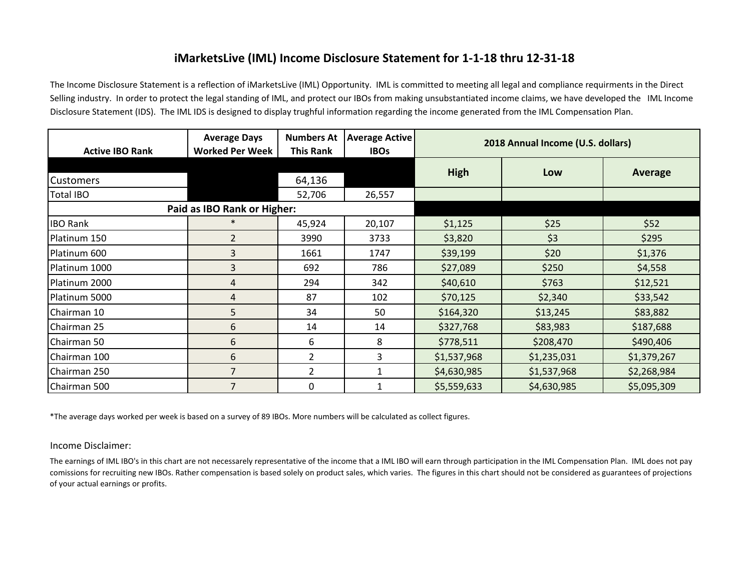## **iMarketsLive (IML) Income Disclosure Statement for 1-1-18 thru 12-31-18**

The Income Disclosure Statement is a reflection of iMarketsLive (IML) Opportunity. IML is committed to meeting all legal and compliance requirments in the Direct Selling industry. In order to protect the legal standing of IML, and protect our IBOs from making unsubstantiated income claims, we have developed the IML Income Disclosure Statement (IDS). The IML IDS is designed to display trughful information regarding the income generated from the IML Compensation Plan.

| <b>Active IBO Rank</b>      | <b>Average Days</b><br><b>Worked Per Week</b> | <b>Numbers At</b><br><b>This Rank</b> | <b>Average Active</b><br><b>IBOs</b> | 2018 Annual Income (U.S. dollars) |             |                |
|-----------------------------|-----------------------------------------------|---------------------------------------|--------------------------------------|-----------------------------------|-------------|----------------|
|                             |                                               |                                       |                                      | High                              | Low         | <b>Average</b> |
| <b>Customers</b>            |                                               | 64,136                                |                                      |                                   |             |                |
| <b>Total IBO</b>            |                                               | 52,706                                | 26,557                               |                                   |             |                |
| Paid as IBO Rank or Higher: |                                               |                                       |                                      |                                   |             |                |
| <b>IBO Rank</b>             | $\ast$                                        | 45,924                                | 20,107                               | \$1,125                           | \$25        | \$52           |
| Platinum 150                | $\overline{2}$                                | 3990                                  | 3733                                 | \$3,820                           | \$3         | \$295          |
| Platinum 600                | 3                                             | 1661                                  | 1747                                 | \$39,199                          | \$20        | \$1,376        |
| Platinum 1000               | 3                                             | 692                                   | 786                                  | \$27,089                          | \$250       | \$4,558        |
| Platinum 2000               | 4                                             | 294                                   | 342                                  | \$40,610                          | \$763       | \$12,521       |
| Platinum 5000               | 4                                             | 87                                    | 102                                  | \$70,125                          | \$2,340     | \$33,542       |
| Chairman 10                 | 5                                             | 34                                    | 50                                   | \$164,320                         | \$13,245    | \$83,882       |
| Chairman 25                 | 6                                             | 14                                    | 14                                   | \$327,768                         | \$83,983    | \$187,688      |
| Chairman 50                 | 6                                             | 6                                     | 8                                    | \$778,511                         | \$208,470   | \$490,406      |
| Chairman 100                | 6                                             | $\overline{2}$                        | 3                                    | \$1,537,968                       | \$1,235,031 | \$1,379,267    |
| Chairman 250                | $\overline{7}$                                | 2                                     |                                      | \$4,630,985                       | \$1,537,968 | \$2,268,984    |
| Chairman 500                |                                               | 0                                     |                                      | \$5,559,633                       | \$4,630,985 | \$5,095,309    |

\*The average days worked per week is based on a survey of 89 IBOs. More numbers will be calculated as collect figures.

## Income Disclaimer:

The earnings of IML IBO's in this chart are not necessarely representative of the income that a IML IBO will earn through participation in the IML Compensation Plan. IML does not pay comissions for recruiting new IBOs. Rather compensation is based solely on product sales, which varies. The figures in this chart should not be considered as guarantees of projections of your actual earnings or profits.